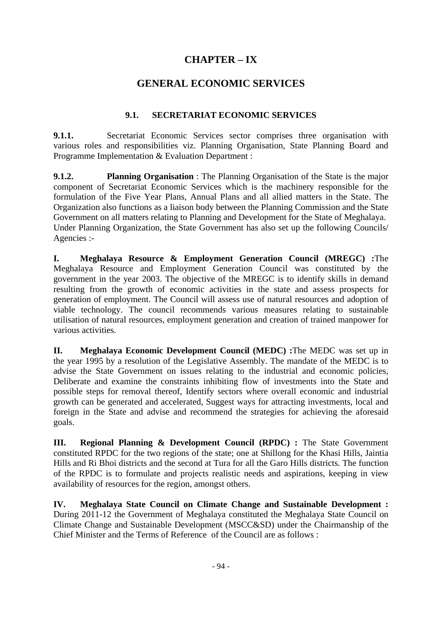# **CHAPTER – IX**

# **GENERAL ECONOMIC SERVICES**

#### **9.1. SECRETARIAT ECONOMIC SERVICES**

**9.1.1.** Secretariat Economic Services sector comprises three organisation with various roles and responsibilities viz. Planning Organisation, State Planning Board and Programme Implementation & Evaluation Department :

**9.1.2. Planning Organisation** : The Planning Organisation of the State is the major component of Secretariat Economic Services which is the machinery responsible for the formulation of the Five Year Plans, Annual Plans and all allied matters in the State. The Organization also functions as a liaison body between the Planning Commission and the State Government on all matters relating to Planning and Development for the State of Meghalaya. Under Planning Organization, the State Government has also set up the following Councils/ Agencies :-

**I. Meghalaya Resource & Employment Generation Council (MREGC) :**The Meghalaya Resource and Employment Generation Council was constituted by the government in the year 2003. The objective of the MREGC is to identify skills in demand resulting from the growth of economic activities in the state and assess prospects for generation of employment. The Council will assess use of natural resources and adoption of viable technology. The council recommends various measures relating to sustainable utilisation of natural resources, employment generation and creation of trained manpower for various activities.

**II. Meghalaya Economic Development Council (MEDC) :**The MEDC was set up in the year 1995 by a resolution of the Legislative Assembly. The mandate of the MEDC is to advise the State Government on issues relating to the industrial and economic policies, Deliberate and examine the constraints inhibiting flow of investments into the State and possible steps for removal thereof, Identify sectors where overall economic and industrial growth can be generated and accelerated, Suggest ways for attracting investments, local and foreign in the State and advise and recommend the strategies for achieving the aforesaid goals.

**III.** Regional Planning & Development Council (RPDC) : The State Government constituted RPDC for the two regions of the state; one at Shillong for the Khasi Hills, Jaintia Hills and Ri Bhoi districts and the second at Tura for all the Garo Hills districts. The function of the RPDC is to formulate and projects realistic needs and aspirations, keeping in view availability of resources for the region, amongst others.

**IV. Meghalaya State Council on Climate Change and Sustainable Development :**  During 2011-12 the Government of Meghalaya constituted the Meghalaya State Council on Climate Change and Sustainable Development (MSCC&SD) under the Chairmanship of the Chief Minister and the Terms of Reference of the Council are as follows :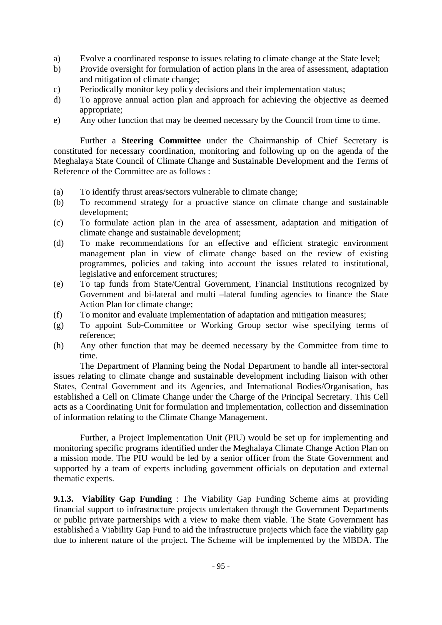- a) Evolve a coordinated response to issues relating to climate change at the State level;
- b) Provide oversight for formulation of action plans in the area of assessment, adaptation and mitigation of climate change;
- c) Periodically monitor key policy decisions and their implementation status;
- d) To approve annual action plan and approach for achieving the objective as deemed appropriate;
- e) Any other function that may be deemed necessary by the Council from time to time.

 Further a **Steering Committee** under the Chairmanship of Chief Secretary is constituted for necessary coordination, monitoring and following up on the agenda of the Meghalaya State Council of Climate Change and Sustainable Development and the Terms of Reference of the Committee are as follows :

- (a) To identify thrust areas/sectors vulnerable to climate change;
- (b) To recommend strategy for a proactive stance on climate change and sustainable development;
- (c) To formulate action plan in the area of assessment, adaptation and mitigation of climate change and sustainable development;
- (d) To make recommendations for an effective and efficient strategic environment management plan in view of climate change based on the review of existing programmes, policies and taking into account the issues related to institutional, legislative and enforcement structures;
- (e) To tap funds from State/Central Government, Financial Institutions recognized by Government and bi-lateral and multi –lateral funding agencies to finance the State Action Plan for climate change;
- (f) To monitor and evaluate implementation of adaptation and mitigation measures;
- (g) To appoint Sub-Committee or Working Group sector wise specifying terms of reference;
- (h) Any other function that may be deemed necessary by the Committee from time to time.

 The Department of Planning being the Nodal Department to handle all inter-sectoral issues relating to climate change and sustainable development including liaison with other States, Central Government and its Agencies, and International Bodies/Organisation, has established a Cell on Climate Change under the Charge of the Principal Secretary. This Cell acts as a Coordinating Unit for formulation and implementation, collection and dissemination of information relating to the Climate Change Management.

 Further, a Project Implementation Unit (PIU) would be set up for implementing and monitoring specific programs identified under the Meghalaya Climate Change Action Plan on a mission mode. The PIU would be led by a senior officer from the State Government and supported by a team of experts including government officials on deputation and external thematic experts.

**9.1.3. Viability Gap Funding** : The Viability Gap Funding Scheme aims at providing financial support to infrastructure projects undertaken through the Government Departments or public private partnerships with a view to make them viable. The State Government has established a Viability Gap Fund to aid the infrastructure projects which face the viability gap due to inherent nature of the project. The Scheme will be implemented by the MBDA. The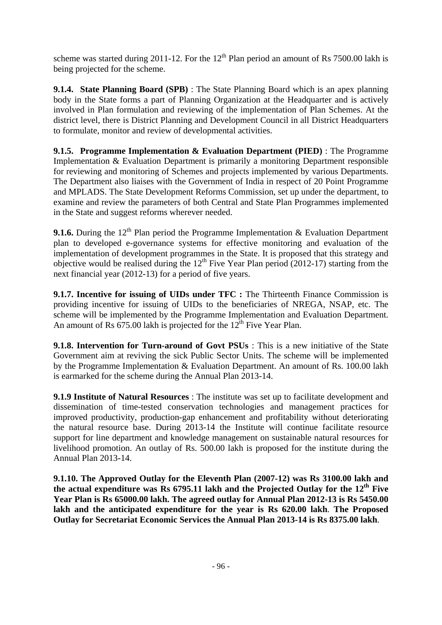scheme was started during 2011-12. For the  $12<sup>th</sup>$  Plan period an amount of Rs 7500.00 lakh is being projected for the scheme.

**9.1.4. State Planning Board (SPB)** : The State Planning Board which is an apex planning body in the State forms a part of Planning Organization at the Headquarter and is actively involved in Plan formulation and reviewing of the implementation of Plan Schemes. At the district level, there is District Planning and Development Council in all District Headquarters to formulate, monitor and review of developmental activities.

**9.1.5. Programme Implementation & Evaluation Department (PIED)** : The Programme Implementation & Evaluation Department is primarily a monitoring Department responsible for reviewing and monitoring of Schemes and projects implemented by various Departments. The Department also liaises with the Government of India in respect of 20 Point Programme and MPLADS. The State Development Reforms Commission, set up under the department, to examine and review the parameters of both Central and State Plan Programmes implemented in the State and suggest reforms wherever needed.

**9.1.6.** During the  $12<sup>th</sup>$  Plan period the Programme Implementation & Evaluation Department plan to developed e-governance systems for effective monitoring and evaluation of the implementation of development programmes in the State. It is proposed that this strategy and objective would be realised during the  $12<sup>th</sup>$  Five Year Plan period (2012-17) starting from the next financial year (2012-13) for a period of five years.

**9.1.7. Incentive for issuing of UIDs under TFC :** The Thirteenth Finance Commission is providing incentive for issuing of UIDs to the beneficiaries of NREGA, NSAP, etc. The scheme will be implemented by the Programme Implementation and Evaluation Department. An amount of Rs  $675.00$  lakh is projected for the  $12^{th}$  Five Year Plan.

**9.1.8. Intervention for Turn-around of Govt PSUs** : This is a new initiative of the State Government aim at reviving the sick Public Sector Units. The scheme will be implemented by the Programme Implementation & Evaluation Department. An amount of Rs. 100.00 lakh is earmarked for the scheme during the Annual Plan 2013-14.

**9.1.9 Institute of Natural Resources** : The institute was set up to facilitate development and dissemination of time-tested conservation technologies and management practices for improved productivity, production-gap enhancement and profitability without deteriorating the natural resource base. During 2013-14 the Institute will continue facilitate resource support for line department and knowledge management on sustainable natural resources for livelihood promotion. An outlay of Rs. 500.00 lakh is proposed for the institute during the Annual Plan 2013-14.

**9.1.10. The Approved Outlay for the Eleventh Plan (2007-12) was Rs 3100.00 lakh and the actual expenditure was Rs 6795.11 lakh and the Projected Outlay for the 12th Five Year Plan is Rs 65000.00 lakh. The agreed outlay for Annual Plan 2012-13 is Rs 5450.00 lakh and the anticipated expenditure for the year is Rs 620.00 lakh**. **The Proposed Outlay for Secretariat Economic Services the Annual Plan 2013-14 is Rs 8375.00 lakh**.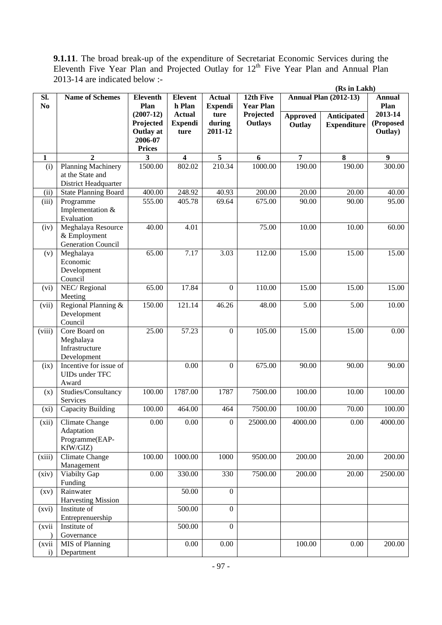**9.1.11**. The broad break-up of the expenditure of Secretariat Economic Services during the Eleventh Five Year Plan and Projected Outlay for  $12<sup>th</sup>$  Five Year Plan and Annual Plan 2013-14 are indicated below :-

|                        |                                                                 |                                              |                                         |                                 |                               |                           |                                   | (Rs in Lakh)                    |  |
|------------------------|-----------------------------------------------------------------|----------------------------------------------|-----------------------------------------|---------------------------------|-------------------------------|---------------------------|-----------------------------------|---------------------------------|--|
| Sl.<br>N <sub>0</sub>  | <b>Name of Schemes</b>                                          | <b>Eleventh</b><br>Plan                      | <b>Elevent</b><br>h Plan                | <b>Actual</b><br><b>Expendi</b> | 12th Five<br><b>Year Plan</b> |                           | <b>Annual Plan (2012-13)</b>      | <b>Annual</b><br>Plan           |  |
|                        |                                                                 | $(2007-12)$<br>Projected<br><b>Outlay at</b> | <b>Actual</b><br><b>Expendi</b><br>ture | ture<br>during<br>2011-12       | Projected<br><b>Outlays</b>   | <b>Approved</b><br>Outlay | Anticipated<br><b>Expenditure</b> | 2013-14<br>(Proposed<br>Outlay) |  |
|                        |                                                                 | 2006-07<br><b>Prices</b>                     |                                         |                                 |                               |                           |                                   |                                 |  |
| $\mathbf{1}$           | $\mathbf{2}$                                                    | 3                                            | $\overline{\mathbf{4}}$                 | 5                               | 6                             | $\overline{7}$            | 8                                 | $\boldsymbol{9}$                |  |
| (i)                    | Planning Machinery<br>at the State and<br>District Headquarter  | 1500.00                                      | 802.02                                  | 210.34                          | 1000.00                       | 190.00                    | 190.00                            | 300.00                          |  |
| (ii)                   | <b>State Planning Board</b>                                     | $\frac{1}{400.00}$                           | 248.92                                  | 40.93                           | 200.00                        | 20.00                     | 20.00                             | 40.00                           |  |
| (iii)                  | Programme<br>Implementation &<br>Evaluation                     | 555.00                                       | 405.78                                  | 69.64                           | 675.00                        | 90.00                     | 90.00                             | 95.00                           |  |
| (iv)                   | Meghalaya Resource<br>& Employment<br><b>Generation Council</b> | 40.00                                        | 4.01                                    |                                 | 75.00                         | 10.00                     | 10.00                             | 60.00                           |  |
| (v)                    | Meghalaya<br>Economic<br>Development<br>Council                 | 65.00                                        | 7.17                                    | 3.03                            | 112.00                        | 15.00                     | 15.00                             | 15.00                           |  |
| (vi)                   | NEC/Regional<br>Meeting                                         | 65.00                                        | 17.84                                   | $\boldsymbol{0}$                | 110.00                        | 15.00                     | 15.00                             | 15.00                           |  |
| (vii)                  | Regional Planning &<br>Development<br>Council                   | 150.00                                       | 121.14                                  | 46.26                           | 48.00                         | 5.00                      | 5.00                              | 10.00                           |  |
| (viii)                 | Core Board on<br>Meghalaya<br>Infrastructure<br>Development     | 25.00                                        | 57.23                                   | $\boldsymbol{0}$                | 105.00                        | 15.00                     | 15.00                             | 0.00                            |  |
| (ix)                   | Incentive for issue of<br>UIDs under TFC<br>Award               |                                              | 0.00                                    | $\overline{0}$                  | 675.00                        | 90.00                     | 90.00                             | 90.00                           |  |
| (x)                    | Studies/Consultancy<br>Services                                 | 100.00                                       | 1787.00                                 | 1787                            | 7500.00                       | 100.00                    | 10.00                             | 100.00                          |  |
| (xi)                   | Capacity Building                                               | 100.00                                       | 464.00                                  | 464                             | 7500.00                       | 100.00                    | 70.00                             | 100.00                          |  |
| (xii)                  | Climate Change<br>Adaptation<br>Programme(EAP-<br>KfW/GIZ)      | $0.00\,$                                     | $0.00\,$                                | $\mathbf{0}$                    | 25000.00                      | 4000.00                   | 0.00                              | 4000.00                         |  |
| (xiii)                 | Climate Change<br>Management                                    | 100.00                                       | 1000.00                                 | 1000                            | 9500.00                       | 200.00                    | 20.00                             | 200.00                          |  |
| (xiv)                  | Viabilty Gap<br>Funding                                         | 0.00                                         | 330.00                                  | 330                             | 7500.00                       | 200.00                    | 20.00                             | 2500.00                         |  |
| (xv)                   | Rainwater<br><b>Harvesting Mission</b>                          |                                              | 50.00                                   | $\overline{0}$                  |                               |                           |                                   |                                 |  |
| (xvi)                  | Institute of<br>Entreprenuership                                |                                              | 500.00                                  | $\boldsymbol{0}$                |                               |                           |                                   |                                 |  |
| (xvii                  | Institute of<br>Governance                                      |                                              | 500.00                                  | $\boldsymbol{0}$                |                               |                           |                                   |                                 |  |
| (xvii)<br>$\mathbf{i}$ | MIS of Planning<br>Department                                   |                                              | $0.00\,$                                | 0.00                            |                               | 100.00                    | 0.00                              | 200.00                          |  |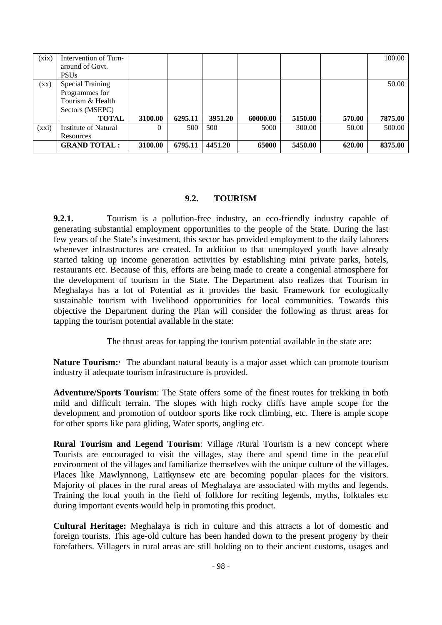| (xix)           | Intervention of Turn-   |          |         |         |          |         |        | 100.00  |
|-----------------|-------------------------|----------|---------|---------|----------|---------|--------|---------|
|                 | around of Govt.         |          |         |         |          |         |        |         |
|                 | <b>PSUs</b>             |          |         |         |          |         |        |         |
| $(\mathbf{xx})$ | <b>Special Training</b> |          |         |         |          |         |        | 50.00   |
|                 | Programmes for          |          |         |         |          |         |        |         |
|                 | Tourism & Health        |          |         |         |          |         |        |         |
|                 | Sectors (MSEPC)         |          |         |         |          |         |        |         |
|                 | <b>TOTAL</b>            | 3100.00  | 6295.11 | 3951.20 | 60000.00 | 5150.00 | 570.00 | 7875.00 |
| (xxi)           | Institute of Natural    | $\Omega$ | 500     | 500     | 5000     | 300.00  | 50.00  | 500.00  |
|                 | Resources               |          |         |         |          |         |        |         |
|                 | <b>GRAND TOTAL:</b>     | 3100.00  | 6795.11 | 4451.20 | 65000    | 5450.00 | 620.00 | 8375.00 |

#### **9.2. TOURISM**

**9.2.1.** Tourism is a pollution-free industry, an eco-friendly industry capable of generating substantial employment opportunities to the people of the State. During the last few years of the State's investment, this sector has provided employment to the daily laborers whenever infrastructures are created. In addition to that unemployed youth have already started taking up income generation activities by establishing mini private parks, hotels, restaurants etc. Because of this, efforts are being made to create a congenial atmosphere for the development of tourism in the State. The Department also realizes that Tourism in Meghalaya has a lot of Potential as it provides the basic Framework for ecologically sustainable tourism with livelihood opportunities for local communities. Towards this objective the Department during the Plan will consider the following as thrust areas for tapping the tourism potential available in the state:

The thrust areas for tapping the tourism potential available in the state are:

**Nature Tourism:** The abundant natural beauty is a major asset which can promote tourism industry if adequate tourism infrastructure is provided.

**Adventure/Sports Tourism**: The State offers some of the finest routes for trekking in both mild and difficult terrain. The slopes with high rocky cliffs have ample scope for the development and promotion of outdoor sports like rock climbing, etc. There is ample scope for other sports like para gliding, Water sports, angling etc.

**Rural Tourism and Legend Tourism**: Village /Rural Tourism is a new concept where Tourists are encouraged to visit the villages, stay there and spend time in the peaceful environment of the villages and familiarize themselves with the unique culture of the villages. Places like Mawlynnong, Laitkynsew etc are becoming popular places for the visitors. Majority of places in the rural areas of Meghalaya are associated with myths and legends. Training the local youth in the field of folklore for reciting legends, myths, folktales etc during important events would help in promoting this product.

**Cultural Heritage:** Meghalaya is rich in culture and this attracts a lot of domestic and foreign tourists. This age-old culture has been handed down to the present progeny by their forefathers. Villagers in rural areas are still holding on to their ancient customs, usages and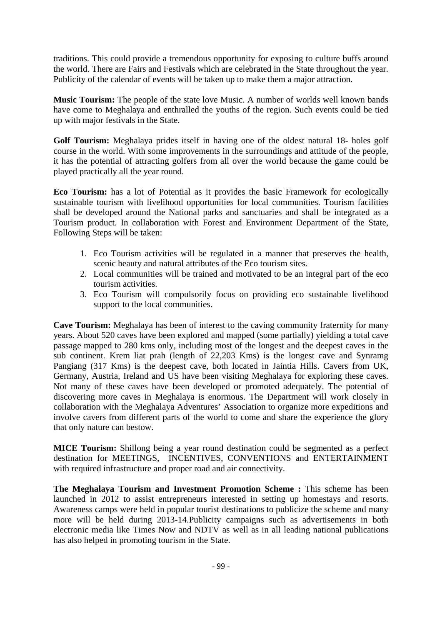traditions. This could provide a tremendous opportunity for exposing to culture buffs around the world. There are Fairs and Festivals which are celebrated in the State throughout the year. Publicity of the calendar of events will be taken up to make them a major attraction.

**Music Tourism:** The people of the state love Music. A number of worlds well known bands have come to Meghalaya and enthralled the youths of the region. Such events could be tied up with major festivals in the State.

**Golf Tourism:** Meghalaya prides itself in having one of the oldest natural 18- holes golf course in the world. With some improvements in the surroundings and attitude of the people, it has the potential of attracting golfers from all over the world because the game could be played practically all the year round.

**Eco Tourism:** has a lot of Potential as it provides the basic Framework for ecologically sustainable tourism with livelihood opportunities for local communities. Tourism facilities shall be developed around the National parks and sanctuaries and shall be integrated as a Tourism product. In collaboration with Forest and Environment Department of the State, Following Steps will be taken:

- 1. Eco Tourism activities will be regulated in a manner that preserves the health, scenic beauty and natural attributes of the Eco tourism sites.
- 2. Local communities will be trained and motivated to be an integral part of the eco tourism activities.
- 3. Eco Tourism will compulsorily focus on providing eco sustainable livelihood support to the local communities.

**Cave Tourism:** Meghalaya has been of interest to the caving community fraternity for many years. About 520 caves have been explored and mapped (some partially) yielding a total cave passage mapped to 280 kms only, including most of the longest and the deepest caves in the sub continent. Krem liat prah (length of 22,203 Kms) is the longest cave and Synramg Pangiang (317 Kms) is the deepest cave, both located in Jaintia Hills. Cavers from UK, Germany, Austria, Ireland and US have been visiting Meghalaya for exploring these caves. Not many of these caves have been developed or promoted adequately. The potential of discovering more caves in Meghalaya is enormous. The Department will work closely in collaboration with the Meghalaya Adventures' Association to organize more expeditions and involve cavers from different parts of the world to come and share the experience the glory that only nature can bestow.

**MICE Tourism:** Shillong being a year round destination could be segmented as a perfect destination for MEETINGS, INCENTIVES, CONVENTIONS and ENTERTAINMENT with required infrastructure and proper road and air connectivity.

**The Meghalaya Tourism and Investment Promotion Scheme :** This scheme has been launched in 2012 to assist entrepreneurs interested in setting up homestays and resorts. Awareness camps were held in popular tourist destinations to publicize the scheme and many more will be held during 2013-14.Publicity campaigns such as advertisements in both electronic media like Times Now and NDTV as well as in all leading national publications has also helped in promoting tourism in the State.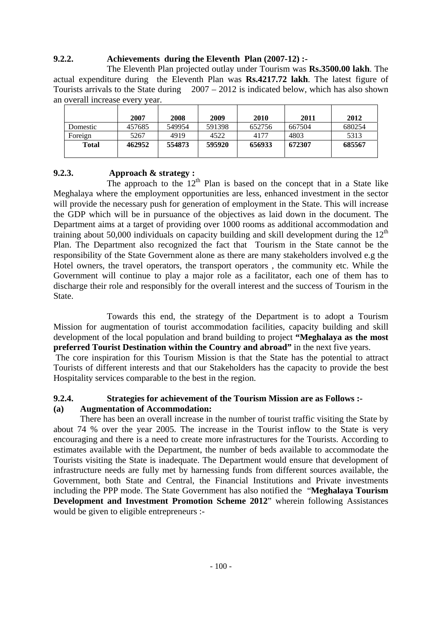## **9.2.2. Achievements during the Eleventh Plan (2007-12) :-**

 The Eleventh Plan projected outlay under Tourism was **Rs.3500.00 lakh**. The actual expenditure during the Eleventh Plan was **Rs.4217.72 lakh**. The latest figure of Tourists arrivals to the State during 2007 – 2012 is indicated below, which has also shown an overall increase every year.

|          | 2007   | 2008   | 2009   | 2010   | 2011   | 2012   |
|----------|--------|--------|--------|--------|--------|--------|
| Domestic | 457685 | 549954 | 591398 | 652756 | 667504 | 680254 |
| Foreign  | 5267   | 4919   | 4522   | 4177   | 4803   | 5313   |
| Total    | 462952 | 554873 | 595920 | 656933 | 672307 | 685567 |

## **9.2.3. Approach & strategy :**

The approach to the  $12<sup>th</sup>$  Plan is based on the concept that in a State like Meghalaya where the employment opportunities are less, enhanced investment in the sector will provide the necessary push for generation of employment in the State. This will increase the GDP which will be in pursuance of the objectives as laid down in the document. The Department aims at a target of providing over 1000 rooms as additional accommodation and training about 50,000 individuals on capacity building and skill development during the  $12<sup>th</sup>$ Plan. The Department also recognized the fact that Tourism in the State cannot be the responsibility of the State Government alone as there are many stakeholders involved e.g the Hotel owners, the travel operators, the transport operators , the community etc. While the Government will continue to play a major role as a facilitator, each one of them has to discharge their role and responsibly for the overall interest and the success of Tourism in the State.

 Towards this end, the strategy of the Department is to adopt a Tourism Mission for augmentation of tourist accommodation facilities, capacity building and skill development of the local population and brand building to project **"Meghalaya as the most preferred Tourist Destination within the Country and abroad"** in the next five years.

 The core inspiration for this Tourism Mission is that the State has the potential to attract Tourists of different interests and that our Stakeholders has the capacity to provide the best Hospitality services comparable to the best in the region.

### **9.2.4. Strategies for achievement of the Tourism Mission are as Follows :- (a) Augmentation of Accommodation:**

 There has been an overall increase in the number of tourist traffic visiting the State by about 74 % over the year 2005. The increase in the Tourist inflow to the State is very encouraging and there is a need to create more infrastructures for the Tourists. According to estimates available with the Department, the number of beds available to accommodate the Tourists visiting the State is inadequate. The Department would ensure that development of infrastructure needs are fully met by harnessing funds from different sources available, the Government, both State and Central, the Financial Institutions and Private investments including the PPP mode. The State Government has also notified the "**Meghalaya Tourism Development and Investment Promotion Scheme 2012**" wherein following Assistances would be given to eligible entrepreneurs :-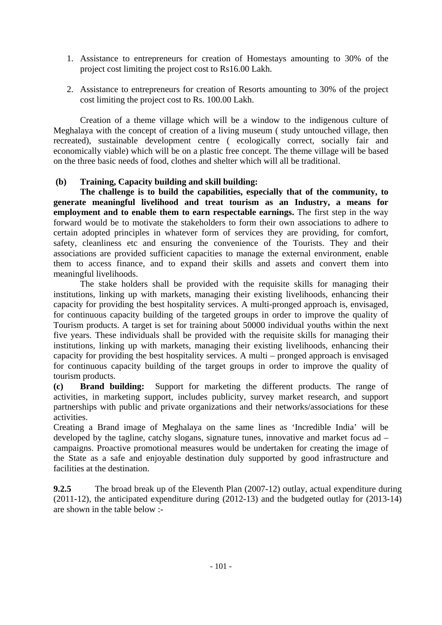- 1. Assistance to entrepreneurs for creation of Homestays amounting to 30% of the project cost limiting the project cost to Rs16.00 Lakh.
- 2. Assistance to entrepreneurs for creation of Resorts amounting to 30% of the project cost limiting the project cost to Rs. 100.00 Lakh.

 Creation of a theme village which will be a window to the indigenous culture of Meghalaya with the concept of creation of a living museum ( study untouched village, then recreated), sustainable development centre ( ecologically correct, socially fair and economically viable) which will be on a plastic free concept. The theme village will be based on the three basic needs of food, clothes and shelter which will all be traditional.

### **(b) Training, Capacity building and skill building:**

 **The challenge is to build the capabilities, especially that of the community, to generate meaningful livelihood and treat tourism as an Industry, a means for employment and to enable them to earn respectable earnings.** The first step in the way forward would be to motivate the stakeholders to form their own associations to adhere to certain adopted principles in whatever form of services they are providing, for comfort, safety, cleanliness etc and ensuring the convenience of the Tourists. They and their associations are provided sufficient capacities to manage the external environment, enable them to access finance, and to expand their skills and assets and convert them into meaningful livelihoods.

 The stake holders shall be provided with the requisite skills for managing their institutions, linking up with markets, managing their existing livelihoods, enhancing their capacity for providing the best hospitality services. A multi-pronged approach is, envisaged, for continuous capacity building of the targeted groups in order to improve the quality of Tourism products. A target is set for training about 50000 individual youths within the next five years. These individuals shall be provided with the requisite skills for managing their institutions, linking up with markets, managing their existing livelihoods, enhancing their capacity for providing the best hospitality services. A multi – pronged approach is envisaged for continuous capacity building of the target groups in order to improve the quality of tourism products.

**(c) Brand building:** Support for marketing the different products. The range of activities, in marketing support, includes publicity, survey market research, and support partnerships with public and private organizations and their networks/associations for these activities.

Creating a Brand image of Meghalaya on the same lines as 'Incredible India' will be developed by the tagline, catchy slogans, signature tunes, innovative and market focus ad – campaigns. Proactive promotional measures would be undertaken for creating the image of the State as a safe and enjoyable destination duly supported by good infrastructure and facilities at the destination.

**9.2.5** The broad break up of the Eleventh Plan (2007-12) outlay, actual expenditure during (2011-12), the anticipated expenditure during (2012-13) and the budgeted outlay for (2013-14) are shown in the table below :-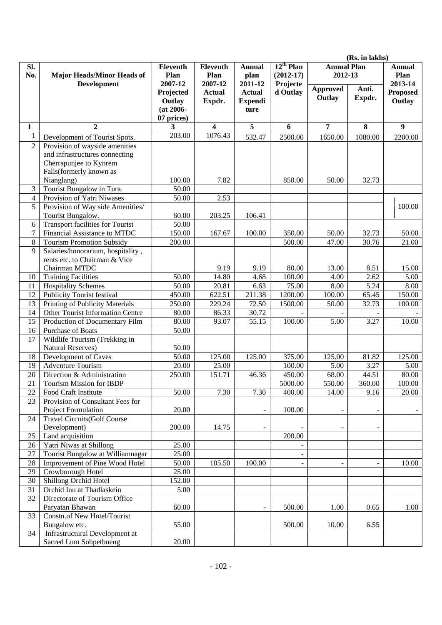|                |                                                           |                 |                 |                |                |                    | (Rs. in lakhs) |                 |
|----------------|-----------------------------------------------------------|-----------------|-----------------|----------------|----------------|--------------------|----------------|-----------------|
| SI.            |                                                           | <b>Eleventh</b> | <b>Eleventh</b> | <b>Annual</b>  | $12^{th}$ Plan | <b>Annual Plan</b> |                | <b>Annual</b>   |
| No.            | <b>Major Heads/Minor Heads of</b>                         | Plan            | Plan            | plan           | $(2012-17)$    | 2012-13            |                | Plan            |
|                | <b>Development</b>                                        | 2007-12         | 2007-12         | 2011-12        | Projecte       |                    |                | 2013-14         |
|                |                                                           | Projected       | <b>Actual</b>   | <b>Actual</b>  | d Outlay       | Approved           | Anti.          | <b>Proposed</b> |
|                |                                                           | Outlay          | Expdr.          | <b>Expendi</b> |                | Outlay             | Expdr.         | Outlay          |
|                |                                                           | $(at 2006 -$    |                 | ture           |                |                    |                |                 |
|                |                                                           | 07 prices)      |                 |                |                |                    |                |                 |
| 1              | $\boldsymbol{2}$                                          | 3               | 4               | 5              | 6              | 7                  | 8              | 9               |
| $\mathbf{1}$   | Development of Tourist Spots.                             | 203.00          | 1076.43         | 532.47         | 2500.00        | 1650.00            | 1080.00        | 2200.00         |
| $\overline{2}$ | Provision of wayside amenities                            |                 |                 |                |                |                    |                |                 |
|                | and infrastructures connecting                            |                 |                 |                |                |                    |                |                 |
|                | Cherrapunjee to Kynrem                                    |                 |                 |                |                |                    |                |                 |
|                | Falls(formerly known as                                   |                 |                 |                |                |                    |                |                 |
|                | Nianglang)                                                | 100.00          | 7.82            |                | 850.00         | 50.00              | 32.73          |                 |
| 3              | Tourist Bungalow in Tura.                                 | 50.00           |                 |                |                |                    |                |                 |
| $\overline{4}$ | Provision of Yatri Niwases                                | 50.00           | 2.53            |                |                |                    |                |                 |
| 5              | Provision of Way side Amenities/                          |                 |                 |                |                |                    |                | 100.00          |
|                | Tourist Bungalow.                                         | 60.00           | 203.25          | 106.41         |                |                    |                |                 |
| 6              | Transport facilities for Tourist                          | 50.00           |                 |                |                |                    |                |                 |
| $\tau$         | Financial Assistance to MTDC                              | 150.00          | 167.67          | 100.00         | 350.00         | 50.00              | 32.73          | 50.00           |
| 8              | <b>Tourism Promotion Subsidy</b>                          | 200.00          |                 |                | 500.00         | 47.00              | 30.76          | 21.00           |
| 9              | Salaries/honorarium, hospitality,                         |                 |                 |                |                |                    |                |                 |
|                | rents etc. to Chairman & Vice                             |                 |                 |                |                |                    |                |                 |
|                | Chairman MTDC                                             |                 | 9.19            | 9.19           | 80.00          | 13.00              | 8.51           | 15.00           |
| 10             | <b>Training Facilities</b>                                | 50.00           | 14.80           | 4.68           | 100.00         | 4.00               | 2.62           | 5.00            |
| 11             | <b>Hospitality Schemes</b>                                | 50.00           | 20.81           | 6.63           | 75.00          | 8.00               | 5.24           | 8.00            |
| 12             | <b>Publicity Tourist festival</b>                         | 450.00          | 622.51          | 211.38         | 1200.00        | 100.00             | 65.45          | 150.00          |
| 13             | Printing of Publicity Materials                           | 250.00          | 229.24          | 72.50          | 1500.00        | 50.00              | 32.73          | 100.00          |
| 14             | Other Tourist Information Centre                          | 80.00           | 86.33           | 30.72          |                |                    |                |                 |
| 15             | Production of Documentary Film                            | 80.00           | 93.07           | 55.15          | 100.00         | 5.00               | 3.27           | 10.00           |
| 16             | Purchase of Boats                                         | 50.00           |                 |                |                |                    |                |                 |
| 17             | Wildlife Tourism (Trekking in                             |                 |                 |                |                |                    |                |                 |
|                | <b>Natural Reserves)</b>                                  | 50.00           |                 |                |                |                    |                |                 |
| 18             | Development of Caves                                      | 50.00           | 125.00          | 125.00         | 375.00         | 125.00             | 81.82          | 125.00          |
| 19             | <b>Adventure Tourism</b>                                  | 20.00           | 25.00           |                | 100.00         | 5.00               | 3.27           | 5.00            |
| 20             | Direction & Administration                                | 250.00          | 151.71          | 46.36          | 450.00         | 68.00              | 44.51          | 80.00           |
| 21             | <b>Tourism Mission for IBDP</b>                           |                 |                 |                | 5000.00        | 550.00             | 360.00         | 100.00          |
| 22             | Food Craft Institute                                      | 50.00           | 7.30            | 7.30           | 400.00         | 14.00              | 9.16           | 20.00           |
| 23             | Provision of Consultant Fees for                          |                 |                 |                | 100.00         |                    |                |                 |
| 24             | Project Formulation<br><b>Travel Circuits(Golf Course</b> | 20.00           |                 |                |                |                    |                |                 |
|                |                                                           | 200.00          | 14.75           |                |                |                    |                |                 |
| 25             | Development)<br>Land acquisition                          |                 |                 |                | 200.00         |                    | $\overline{a}$ |                 |
| 26             | Yatri Niwas at Shillong                                   | 25.00           |                 |                |                |                    |                |                 |
| 27             | Tourist Bungalow at Williamnagar                          | 25.00           |                 |                |                |                    |                |                 |
| 28             | Improvement of Pine Wood Hotel                            | 50.00           | 105.50          | 100.00         |                |                    |                | 10.00           |
| 29             | Crowborough Hotel                                         | 25.00           |                 |                |                |                    |                |                 |
| 30             | Shillong Orchid Hotel                                     | 152.00          |                 |                |                |                    |                |                 |
| 31             | Orchid Inn at Thadlaskein                                 | 5.00            |                 |                |                |                    |                |                 |
| 32             | Directorate of Tourism Office                             |                 |                 |                |                |                    |                |                 |
|                | Paryatan Bhawan                                           | 60.00           |                 |                | 500.00         | 1.00               | 0.65           | 1.00            |
| 33             | Constn.of New Hotel/Tourist                               |                 |                 |                |                |                    |                |                 |
|                | Bungalow etc.                                             | 55.00           |                 |                | 500.00         | 10.00              | 6.55           |                 |
| 34             | <b>Infrastructural Development at</b>                     |                 |                 |                |                |                    |                |                 |
|                | Sacred Lum Sohpetbneng                                    | 20.00           |                 |                |                |                    |                |                 |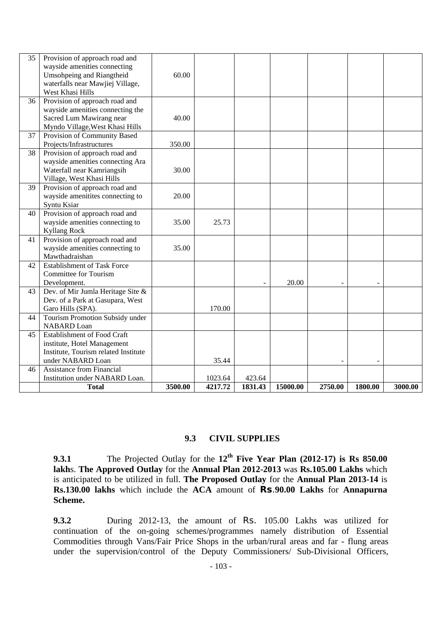| 35 | Provision of approach road and<br>wayside amenities connecting<br>Umsohpeing and Riangtheid<br>waterfalls near Mawjiej Village,<br>West Khasi Hills | 60.00   |         |         |          |         |         |         |
|----|-----------------------------------------------------------------------------------------------------------------------------------------------------|---------|---------|---------|----------|---------|---------|---------|
| 36 | Provision of approach road and<br>wayside amenities connecting the<br>Sacred Lum Mawirang near<br>Myndo Village, West Khasi Hills                   | 40.00   |         |         |          |         |         |         |
| 37 | Provision of Community Based<br>Projects/Infrastructures                                                                                            | 350.00  |         |         |          |         |         |         |
| 38 | Provision of approach road and<br>wayside amenities connecting Ara<br>Waterfall near Kamriangsih<br>Village, West Khasi Hills                       | 30.00   |         |         |          |         |         |         |
| 39 | Provision of approach road and<br>wayside amenitites connecting to<br>Syntu Ksiar                                                                   | 20.00   |         |         |          |         |         |         |
| 40 | Provision of approach road and<br>wayside amenities connecting to<br><b>Kyllang Rock</b>                                                            | 35.00   | 25.73   |         |          |         |         |         |
| 41 | Provision of approach road and<br>wayside amenities connecting to<br>Mawthadraishan                                                                 | 35.00   |         |         |          |         |         |         |
| 42 | <b>Establishment of Task Force</b><br><b>Committee for Tourism</b><br>Development.                                                                  |         |         |         | 20.00    |         |         |         |
| 43 | Dev. of Mir Jumla Heritage Site &<br>Dev. of a Park at Gasupara, West<br>Garo Hills (SPA).                                                          |         | 170.00  |         |          |         |         |         |
| 44 | Tourism Promotion Subsidy under<br><b>NABARD</b> Loan                                                                                               |         |         |         |          |         |         |         |
| 45 | <b>Establishment of Food Craft</b><br>institute, Hotel Management<br>Institute, Tourism related Institute<br>under NABARD Loan                      |         | 35.44   |         |          |         |         |         |
| 46 | <b>Assistance from Financial</b><br>Institution under NABARD Loan.                                                                                  |         | 1023.64 | 423.64  |          |         |         |         |
|    | <b>Total</b>                                                                                                                                        | 3500.00 | 4217.72 | 1831.43 | 15000.00 | 2750.00 | 1800.00 | 3000.00 |

#### **9.3 CIVIL SUPPLIES**

**9.3.1** The Projected Outlay for the **12th Five Year Plan (2012-17) is Rs 850.00 lakh**s. **The Approved Outlay** for the **Annual Plan 2012-2013** was **Rs.105.00 Lakhs** which is anticipated to be utilized in full. **The Proposed Outlay** for the **Annual Plan 2013-14** is **Rs.130.00 lakhs** which include the **ACA** amount of **Rs**.**90.00 Lakhs** for **Annapurna Scheme.**

**9.3.2** During 2012-13, the amount of Rs. 105.00 Lakhs was utilized for continuation of the on-going schemes/programmes namely distribution of Essential Commodities through Vans/Fair Price Shops in the urban/rural areas and far - flung areas under the supervision/control of the Deputy Commissioners/ Sub-Divisional Officers,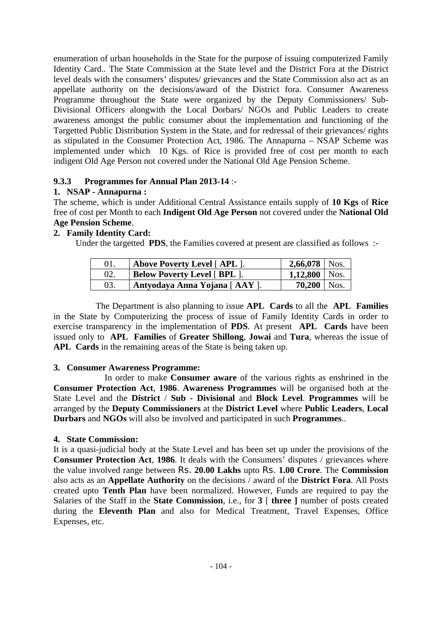enumeration of urban households in the State for the purpose of issuing computerized Family Identity Card.. The State Commission at the State level and the District Fora at the District level deals with the consumers' disputes/ grievances and the State Commission also act as an appellate authority on the decisions/award of the District fora. Consumer Awareness Programme throughout the State were organized by the Deputy Commissioners/ Sub-Divisional Officers alongwith the Local Dorbars/ NGOs and Public Leaders to create awareness amongst the public consumer about the implementation and functioning of the Targetted Public Distribution System in the State, and for redressal of their grievances/ rights as stipulated in the Consumer Protection Act, 1986. The Annapurna – NSAP Scheme was implemented under which 10 Kgs. of Rice is provided free of cost per month to each indigent Old Age Person not covered under the National Old Age Pension Scheme.

### **9.3.3 Programmes for Annual Plan 2013-14** :-

### **1. NSAP - Annapurna :**

The scheme, which is under Additional Central Assistance entails supply of **10 Kgs** of **Rice** free of cost per Month to each **Indigent Old Age Person** not covered under the **National Old Age Pension Scheme**.

# **2. Family Identity Card:**

Under the targetted **PDS**, the Families covered at present are classified as follows :-

|     | Above Poverty Level [ APL ].        | $2,66,078$   Nos. |  |
|-----|-------------------------------------|-------------------|--|
|     | <b>Below Poverty Level [ BPL ].</b> | $1,12,800$ Nos.   |  |
| 03. | Antyodaya Anna Yojana [ AAY ].      | $70,200$   Nos.   |  |

 The Department is also planning to issue **APL Cards** to all the **APL Families** in the State by Computerizing the process of issue of Family Identity Cards in order to exercise transparency in the implementation of **PDS**. At present **APL Cards** have been issued only to **APL Families** of **Greater Shillong**, **Jowai** and **Tura**, whereas the issue of **APL Cards** in the remaining areas of the State is being taken up.

# **3. Consumer Awareness Programme:**

 In order to make **Consumer aware** of the various rights as enshrined in the **Consumer Protection Act**, **1986**. **Awareness Programmes** will be organised both at the State Level and the **District** / **Sub - Divisional** and **Block Level**. **Programmes** will be arranged by the **Deputy Commissioners** at the **District Level** where **Public Leaders**, **Local Durbars** and **NGOs** will also be involved and participated in such **Programmes**..

### **4. State Commission:**

It is a quasi-judicial body at the State Level and has been set up under the provisions of the **Consumer Protection Act**, **1986**. It deals with the Consumers' disputes / grievances where the value involved range between Rs. **20.00 Lakhs** upto Rs. **1.00 Crore**. The **Commission** also acts as an **Appellate Authority** on the decisions / award of the **District Fora**. All Posts created upto **Tenth Plan** have been normalized. However, Funds are required to pay the Salaries of the Staff in the **State Commission**, i.e., for **3** [ **three ]** number of posts created during the **Eleventh Plan** and also for Medical Treatment, Travel Expenses, Office Expenses, etc.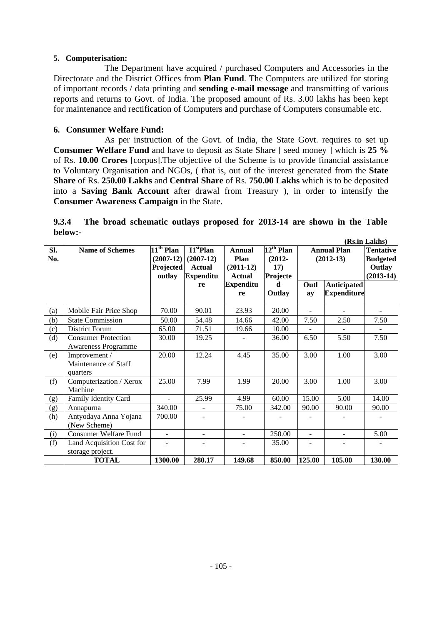#### **5. Computerisation:**

 The Department have acquired / purchased Computers and Accessories in the Directorate and the District Offices from **Plan Fund**. The Computers are utilized for storing of important records / data printing and **sending e-mail message** and transmitting of various reports and returns to Govt. of India. The proposed amount of Rs. 3.00 lakhs has been kept for maintenance and rectification of Computers and purchase of Computers consumable etc.

### **6. Consumer Welfare Fund:**

 As per instruction of the Govt. of India, the State Govt. requires to set up **Consumer Welfare Fund** and have to deposit as State Share [ seed money ] which is **25 %** of Rs. **10.00 Crores** [corpus].The objective of the Scheme is to provide financial assistance to Voluntary Organisation and NGOs, ( that is, out of the interest generated from the **State Share** of Rs. **250.00 Lakhs** and **Central Share** of Rs. **750.00 Lakhs** which is to be deposited into a **Saving Bank Account** after drawal from Treasury ), in order to intensify the **Consumer Awareness Campaign** in the State.

|         |  | 9.3.4 The broad schematic outlays proposed for 2013-14 are shown in the Table |  |  |  |  |                  |
|---------|--|-------------------------------------------------------------------------------|--|--|--|--|------------------|
| below:- |  |                                                                               |  |  |  |  | $(D_2 \cup I_1)$ |

|     |                              |                       |                                             |                  |                       |                          |                    | (KS.In Lakns)    |
|-----|------------------------------|-----------------------|---------------------------------------------|------------------|-----------------------|--------------------------|--------------------|------------------|
| SI. | <b>Name of Schemes</b>       | $11^{\text{th}}$ Plan | $\overline{\mathrm{I1}}^{\mathrm{st}}$ Plan | <b>Annual</b>    | $12^{\text{th}}$ Plan |                          | <b>Annual Plan</b> | <b>Tentative</b> |
| No. |                              | $(2007-12)$           | $(2007-12)$                                 | Plan             | $(2012 -$             |                          | $(2012-13)$        | <b>Budgeted</b>  |
|     |                              | <b>Projected</b>      | Actual                                      | $(2011-12)$      | 17)                   |                          |                    | Outlay           |
|     |                              | outlay                | <b>Expenditu</b>                            | Actual           | Projecte              |                          |                    | $(2013-14)$      |
|     |                              |                       |                                             | <b>Expenditu</b> | d                     | Outl                     |                    |                  |
|     |                              |                       | re                                          |                  |                       |                          | <b>Anticipated</b> |                  |
|     |                              |                       |                                             | re               | Outlay                | ay                       | <b>Expenditure</b> |                  |
|     |                              |                       |                                             |                  |                       |                          |                    |                  |
| (a) | Mobile Fair Price Shop       | 70.00                 | 90.01                                       | 23.93            | 20.00                 | $\sim$                   | $\sim$             | ÷.               |
| (b) | <b>State Commission</b>      | 50.00                 | 54.48                                       | 14.66            | 42.00                 | 7.50                     | 2.50               | 7.50             |
| (c) | District Forum               | 65.00                 | 71.51                                       | 19.66            | 10.00                 |                          |                    |                  |
| (d) | <b>Consumer Protection</b>   | 30.00                 | 19.25                                       |                  | 36.00                 | 6.50                     | 5.50               | 7.50             |
|     | <b>Awareness Programme</b>   |                       |                                             |                  |                       |                          |                    |                  |
| (e) | Improvement /                | 20.00                 | 12.24                                       | 4.45             | 35.00                 | 3.00                     | 1.00               | 3.00             |
|     | Maintenance of Staff         |                       |                                             |                  |                       |                          |                    |                  |
|     | quarters                     |                       |                                             |                  |                       |                          |                    |                  |
| (f) | Computerization / Xerox      | 25.00                 | 7.99                                        | 1.99             | 20.00                 | 3.00                     | 1.00               | 3.00             |
|     | Machine                      |                       |                                             |                  |                       |                          |                    |                  |
| (g) | Family Identity Card         | $\overline{a}$        | 25.99                                       | 4.99             | 60.00                 | 15.00                    | 5.00               | 14.00            |
| (g) | Annapurna                    | 340.00                |                                             | 75.00            | 342.00                | 90.00                    | 90.00              | 90.00            |
| (h) | Antyodaya Anna Yojana        | 700.00                |                                             |                  |                       |                          |                    |                  |
|     | (New Scheme)                 |                       |                                             |                  |                       |                          |                    |                  |
| (i) | <b>Consumer Welfare Fund</b> | ÷.                    | ÷.                                          | ÷                | 250.00                | $\overline{a}$           | $\blacksquare$     | 5.00             |
| (f) | Land Acquisition Cost for    |                       |                                             | -                | 35.00                 | $\overline{\phantom{a}}$ |                    |                  |
|     | storage project.             |                       |                                             |                  |                       |                          |                    |                  |
|     | <b>TOTAL</b>                 | 1300.00               | 280.17                                      | 149.68           | 850.00                | 125.00                   | 105.00             | 130.00           |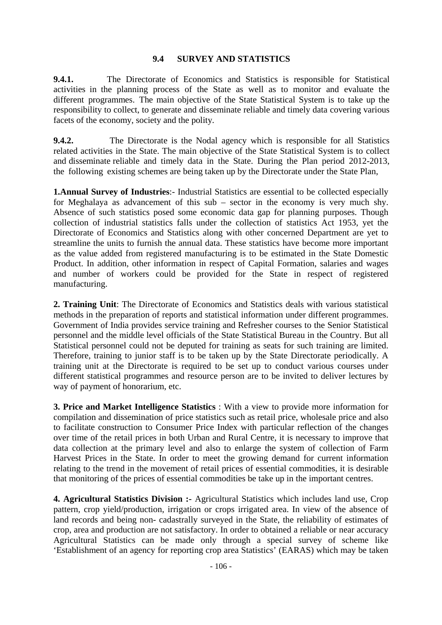#### **9.4 SURVEY AND STATISTICS**

**9.4.1.** The Directorate of Economics and Statistics is responsible for Statistical activities in the planning process of the State as well as to monitor and evaluate the different programmes. The main objective of the State Statistical System is to take up the responsibility to collect, to generate and disseminate reliable and timely data covering various facets of the economy, society and the polity.

**9.4.2.** The Directorate is the Nodal agency which is responsible for all Statistics related activities in the State. The main objective of the State Statistical System is to collect and disseminate reliable and timely data in the State. During the Plan period 2012-2013, the following existing schemes are being taken up by the Directorate under the State Plan,

**1.Annual Survey of Industries**:- Industrial Statistics are essential to be collected especially for Meghalaya as advancement of this sub – sector in the economy is very much shy. Absence of such statistics posed some economic data gap for planning purposes. Though collection of industrial statistics falls under the collection of statistics Act 1953, yet the Directorate of Economics and Statistics along with other concerned Department are yet to streamline the units to furnish the annual data. These statistics have become more important as the value added from registered manufacturing is to be estimated in the State Domestic Product. In addition, other information in respect of Capital Formation, salaries and wages and number of workers could be provided for the State in respect of registered manufacturing.

**2. Training Unit**: The Directorate of Economics and Statistics deals with various statistical methods in the preparation of reports and statistical information under different programmes. Government of India provides service training and Refresher courses to the Senior Statistical personnel and the middle level officials of the State Statistical Bureau in the Country. But all Statistical personnel could not be deputed for training as seats for such training are limited. Therefore, training to junior staff is to be taken up by the State Directorate periodically. A training unit at the Directorate is required to be set up to conduct various courses under different statistical programmes and resource person are to be invited to deliver lectures by way of payment of honorarium, etc.

**3. Price and Market Intelligence Statistics** : With a view to provide more information for compilation and dissemination of price statistics such as retail price, wholesale price and also to facilitate construction to Consumer Price Index with particular reflection of the changes over time of the retail prices in both Urban and Rural Centre, it is necessary to improve that data collection at the primary level and also to enlarge the system of collection of Farm Harvest Prices in the State. In order to meet the growing demand for current information relating to the trend in the movement of retail prices of essential commodities, it is desirable that monitoring of the prices of essential commodities be take up in the important centres.

**4. Agricultural Statistics Division :-** Agricultural Statistics which includes land use, Crop pattern, crop yield/production, irrigation or crops irrigated area. In view of the absence of land records and being non- cadastrally surveyed in the State, the reliability of estimates of crop, area and production are not satisfactory. In order to obtained a reliable or near accuracy Agricultural Statistics can be made only through a special survey of scheme like 'Establishment of an agency for reporting crop area Statistics' (EARAS) which may be taken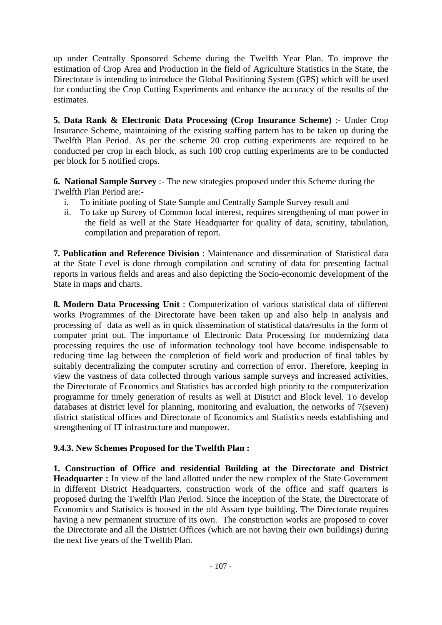up under Centrally Sponsored Scheme during the Twelfth Year Plan. To improve the estimation of Crop Area and Production in the field of Agriculture Statistics in the State, the Directorate is intending to introduce the Global Positioning System (GPS) which will be used for conducting the Crop Cutting Experiments and enhance the accuracy of the results of the estimates.

**5. Data Rank & Electronic Data Processing (Crop Insurance Scheme)** :- Under Crop Insurance Scheme, maintaining of the existing staffing pattern has to be taken up during the Twelfth Plan Period. As per the scheme 20 crop cutting experiments are required to be conducted per crop in each block, as such 100 crop cutting experiments are to be conducted per block for 5 notified crops.

**6. National Sample Survey** :- The new strategies proposed under this Scheme during the Twelfth Plan Period are:-

- i. To initiate pooling of State Sample and Centrally Sample Survey result and
- ii. To take up Survey of Common local interest, requires strengthening of man power in the field as well at the State Headquarter for quality of data, scrutiny, tabulation, compilation and preparation of report.

**7. Publication and Reference Division** : Maintenance and dissemination of Statistical data at the State Level is done through compilation and scrutiny of data for presenting factual reports in various fields and areas and also depicting the Socio-economic development of the State in maps and charts.

**8. Modern Data Processing Unit** : Computerization of various statistical data of different works Programmes of the Directorate have been taken up and also help in analysis and processing of data as well as in quick dissemination of statistical data/results in the form of computer print out. The importance of Electronic Data Processing for modernizing data processing requires the use of information technology tool have become indispensable to reducing time lag between the completion of field work and production of final tables by suitably decentralizing the computer scrutiny and correction of error. Therefore, keeping in view the vastness of data collected through various sample surveys and increased activities, the Directorate of Economics and Statistics has accorded high priority to the computerization programme for timely generation of results as well at District and Block level. To develop databases at district level for planning, monitoring and evaluation, the networks of 7(seven) district statistical offices and Directorate of Economics and Statistics needs establishing and strengthening of IT infrastructure and manpower.

# **9.4.3. New Schemes Proposed for the Twelfth Plan :**

**1. Construction of Office and residential Building at the Directorate and District Headquarter :** In view of the land allotted under the new complex of the State Government in different District Headquarters, construction work of the office and staff quarters is proposed during the Twelfth Plan Period. Since the inception of the State, the Directorate of Economics and Statistics is housed in the old Assam type building. The Directorate requires having a new permanent structure of its own. The construction works are proposed to cover the Directorate and all the District Offices (which are not having their own buildings) during the next five years of the Twelfth Plan.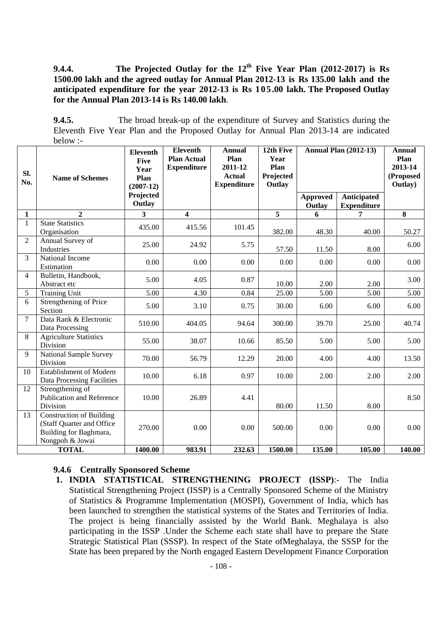9.4.4. The Projected Outlay for the 12<sup>th</sup> Five Year Plan (2012-2017) is Rs **1500.00 lakh and the agreed outlay for Annual Plan 2012-13 is Rs 135.00 lakh and the anticipated expenditure for the year 2012-13 is Rs 105.00 lakh. The Proposed Outlay for the Annual Plan 2013-14 is Rs 140.00 lakh**.

**9.4.5.** The broad break-up of the expenditure of Survey and Statistics during the Eleventh Five Year Plan and the Proposed Outlay for Annual Plan 2013-14 are indicated below :-

| SI.<br>No.     | <b>Name of Schemes</b>                                                                                    | <b>Eleventh</b><br><b>Five</b><br>Year<br>Plan<br>$(2007-12)$ | <b>Eleventh</b><br><b>Plan Actual</b><br><b>Expenditure</b> | <b>Annual</b><br>Plan<br>2011-12<br><b>Actual</b><br><b>Expenditure</b> | 12th Five<br>Year<br>Plan<br>Projected<br>Outlay | <b>Annual Plan (2012-13)</b> |                                          | <b>Annual</b><br>Plan<br>2013-14<br>(Proposed<br>Outlay) |
|----------------|-----------------------------------------------------------------------------------------------------------|---------------------------------------------------------------|-------------------------------------------------------------|-------------------------------------------------------------------------|--------------------------------------------------|------------------------------|------------------------------------------|----------------------------------------------------------|
|                |                                                                                                           | Projected<br>Outlay                                           |                                                             |                                                                         |                                                  | <b>Approved</b><br>Outlay    | <b>Anticipated</b><br><b>Expenditure</b> |                                                          |
| $\mathbf{1}$   | $\overline{2}$                                                                                            | 3                                                             | $\overline{\mathbf{4}}$                                     |                                                                         | 5                                                | 6                            | 7                                        | 8                                                        |
| $\mathbf{1}$   | <b>State Statistics</b><br>Organisation                                                                   | 435.00                                                        | 415.56                                                      | 101.45                                                                  | 382.00                                           | 48.30                        | 40.00                                    | 50.27                                                    |
| $\overline{2}$ | Annual Survey of<br>Industries                                                                            | 25.00                                                         | 24.92                                                       | 5.75                                                                    | 57.50                                            | 11.50                        | 8.00                                     | 6.00                                                     |
| 3              | National Income<br>Estimation                                                                             | 0.00                                                          | 0.00                                                        | 0.00                                                                    | 0.00                                             | 0.00                         | 0.00                                     | 0.00                                                     |
| $\overline{4}$ | Bulletin, Handbook,<br>Abstract etc                                                                       | 5.00                                                          | 4.05                                                        | 0.87                                                                    | 10.00                                            | 2.00                         | 2.00                                     | 3.00                                                     |
| 5              | <b>Training Unit</b>                                                                                      | 5.00                                                          | 4.30                                                        | 0.84                                                                    | 25.00                                            | 5.00                         | 5.00                                     | 5.00                                                     |
| 6              | Strengthening of Price<br>Section                                                                         | 5.00                                                          | 3.10                                                        | 0.75                                                                    | 30.00                                            | 6.00                         | 6.00                                     | 6.00                                                     |
| $\overline{7}$ | Data Rank & Electronic<br>Data Processing                                                                 | 510.00                                                        | 404.05                                                      | 94.64                                                                   | 300.00                                           | 39.70                        | 25.00                                    | 40.74                                                    |
| 8              | <b>Agriculture Statistics</b><br>Division                                                                 | 55.00                                                         | 38.07                                                       | 10.66                                                                   | 85.50                                            | 5.00                         | 5.00                                     | 5.00                                                     |
| 9              | <b>National Sample Survey</b><br>Division                                                                 | 70.00                                                         | 56.79                                                       | 12.29                                                                   | 20.00                                            | 4.00                         | 4.00                                     | 13.50                                                    |
| 10             | Establishment of Modern<br><b>Data Processing Facilities</b>                                              | 10.00                                                         | 6.18                                                        | 0.97                                                                    | 10.00                                            | 2.00                         | 2.00                                     | 2.00                                                     |
| 12             | Strengthening of<br><b>Publication and Reference</b><br>Division                                          | 10.00                                                         | 26.89                                                       | 4.41                                                                    | 80.00                                            | 11.50                        | 8.00                                     | 8.50                                                     |
| 13             | <b>Construction of Building</b><br>(Staff Quarter and Office<br>Building for Baghmara,<br>Nongpoh & Jowai | 270.00                                                        | 0.00                                                        | 0.00                                                                    | 500.00                                           | 0.00                         | 0.00                                     | 0.00                                                     |
|                | <b>TOTAL</b>                                                                                              | 1400.00                                                       | 983.91                                                      | 232.63                                                                  | 1500.00                                          | 135.00                       | 105.00                                   | 140.00                                                   |

#### **9.4.6 Centrally Sponsored Scheme**

**1. INDIA STATISTICAL STRENGTHENING PROJECT (ISSP)**:- The India Statistical Strengthening Project (ISSP) is a Centrally Sponsored Scheme of the Ministry of Statistics & Programme Implementation (MOSPI), Government of India, which has been launched to strengthen the statistical systems of the States and Territories of India. The project is being financially assisted by the World Bank. Meghalaya is also participating in the ISSP .Under the Scheme each state shall have to prepare the State Strategic Statistical Plan (SSSP). In respect of the State ofMeghalaya, the SSSP for the State has been prepared by the North engaged Eastern Development Finance Corporation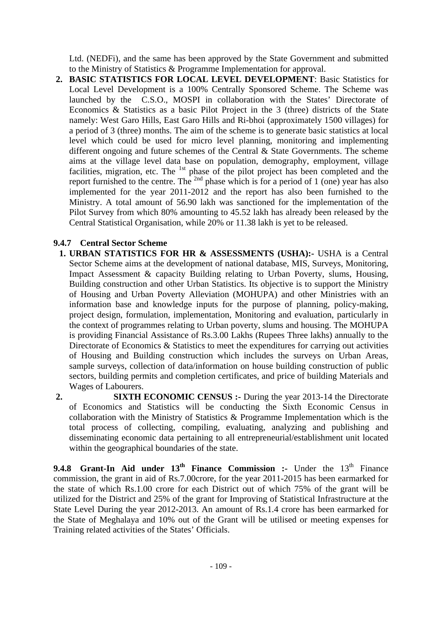Ltd. (NEDFi), and the same has been approved by the State Government and submitted to the Ministry of Statistics & Programme Implementation for approval.

**2. BASIC STATISTICS FOR LOCAL LEVEL DEVELOPMENT**: Basic Statistics for Local Level Development is a 100% Centrally Sponsored Scheme. The Scheme was launched by the C.S.O., MOSPI in collaboration with the States' Directorate of Economics & Statistics as a basic Pilot Project in the 3 (three) districts of the State namely: West Garo Hills, East Garo Hills and Ri-bhoi (approximately 1500 villages) for a period of 3 (three) months. The aim of the scheme is to generate basic statistics at local level which could be used for micro level planning, monitoring and implementing different ongoing and future schemes of the Central & State Governments. The scheme aims at the village level data base on population, demography, employment, village facilities, migration, etc. The <sup>1st</sup> phase of the pilot project has been completed and the report furnished to the centre. The  $^{2nd}$  phase which is for a period of 1 (one) year has also implemented for the year 2011-2012 and the report has also been furnished to the Ministry. A total amount of 56.90 lakh was sanctioned for the implementation of the Pilot Survey from which 80% amounting to 45.52 lakh has already been released by the Central Statistical Organisation, while 20% or 11.38 lakh is yet to be released.

## **9.4.7 Central Sector Scheme**

- **1. URBAN STATISTICS FOR HR & ASSESSMENTS (USHA):-** USHA is a Central Sector Scheme aims at the development of national database, MIS, Surveys, Monitoring, Impact Assessment & capacity Building relating to Urban Poverty, slums, Housing, Building construction and other Urban Statistics. Its objective is to support the Ministry of Housing and Urban Poverty Alleviation (MOHUPA) and other Ministries with an information base and knowledge inputs for the purpose of planning, policy-making, project design, formulation, implementation, Monitoring and evaluation, particularly in the context of programmes relating to Urban poverty, slums and housing. The MOHUPA is providing Financial Assistance of Rs.3.00 Lakhs (Rupees Three lakhs) annually to the Directorate of Economics & Statistics to meet the expenditures for carrying out activities of Housing and Building construction which includes the surveys on Urban Areas, sample surveys, collection of data/information on house building construction of public sectors, building permits and completion certificates, and price of building Materials and Wages of Labourers.
- **2. SIXTH ECONOMIC CENSUS :-** During the year 2013-14 the Directorate of Economics and Statistics will be conducting the Sixth Economic Census in collaboration with the Ministry of Statistics & Programme Implementation which is the total process of collecting, compiling, evaluating, analyzing and publishing and disseminating economic data pertaining to all entrepreneurial/establishment unit located within the geographical boundaries of the state.

**9.4.8 Grant-In Aid under 13<sup>th</sup> Finance Commission :-** Under the 13<sup>th</sup> Finance commission, the grant in aid of Rs.7.00crore, for the year 2011-2015 has been earmarked for the state of which Rs.1.00 crore for each District out of which 75% of the grant will be utilized for the District and 25% of the grant for Improving of Statistical Infrastructure at the State Level During the year 2012-2013. An amount of Rs.1.4 crore has been earmarked for the State of Meghalaya and 10% out of the Grant will be utilised or meeting expenses for Training related activities of the States' Officials.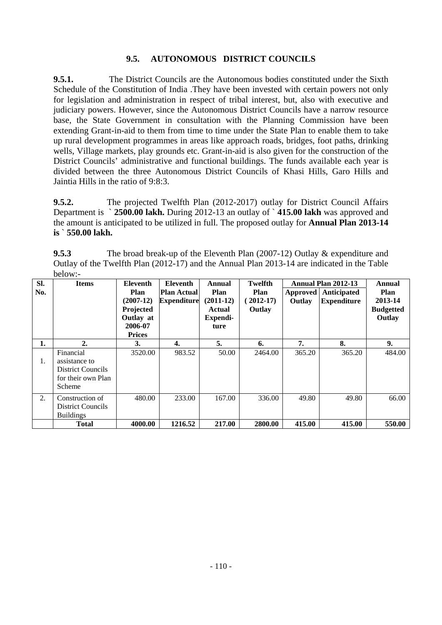## **9.5. AUTONOMOUS DISTRICT COUNCILS**

**9.5.1.** The District Councils are the Autonomous bodies constituted under the Sixth Schedule of the Constitution of India .They have been invested with certain powers not only for legislation and administration in respect of tribal interest, but, also with executive and judiciary powers. However, since the Autonomous District Councils have a narrow resource base, the State Government in consultation with the Planning Commission have been extending Grant-in-aid to them from time to time under the State Plan to enable them to take up rural development programmes in areas like approach roads, bridges, foot paths, drinking wells, Village markets, play grounds etc. Grant-in-aid is also given for the construction of the District Councils' administrative and functional buildings. The funds available each year is divided between the three Autonomous District Councils of Khasi Hills, Garo Hills and Jaintia Hills in the ratio of 9:8:3.

**9.5.2.** The projected Twelfth Plan (2012-2017) outlay for District Council Affairs Department is ` **2500.00 lakh.** During 2012-13 an outlay of ` **415.00 lakh** was approved and the amount is anticipated to be utilized in full. The proposed outlay for **Annual Plan 2013-14 is** ` **550.00 lakh.** 

**9.5.3** The broad break-up of the Eleventh Plan (2007-12) Outlay & expenditure and Outlay of the Twelfth Plan (2012-17) and the Annual Plan 2013-14 are indicated in the Table below:-

| SI. | <b>Items</b>                                                                    | <b>Eleventh</b>                                                           | <b>Eleventh</b>                          | Annual                                            | Twelfth                       |                    | Annual Plan 2012-13               | Annual                                               |
|-----|---------------------------------------------------------------------------------|---------------------------------------------------------------------------|------------------------------------------|---------------------------------------------------|-------------------------------|--------------------|-----------------------------------|------------------------------------------------------|
| No. |                                                                                 | Plan<br>$(2007-12)$<br>Projected<br>Outlay at<br>2006-07<br><b>Prices</b> | <b>Plan Actual</b><br><b>Expenditure</b> | Plan<br>$(2011-12)$<br>Actual<br>Expendi-<br>ture | Plan<br>$(2012-17)$<br>Outlay | Approved<br>Outlay | Anticipated<br><b>Expenditure</b> | <b>Plan</b><br>2013-14<br><b>Budgetted</b><br>Outlay |
| 1.  | $\overline{2}$ .                                                                | 3.                                                                        | 4.                                       | 5.                                                | 6.                            | 7.                 | 8.                                | 9.                                                   |
| 1.  | Financial<br>assistance to<br>District Councils<br>for their own Plan<br>Scheme | 3520.00                                                                   | 983.52                                   | 50.00                                             | 2464.00                       | 365.20             | 365.20                            | 484.00                                               |
| 2.  | Construction of<br><b>District Councils</b><br><b>Buildings</b>                 | 480.00                                                                    | 233.00                                   | 167.00                                            | 336.00                        | 49.80              | 49.80                             | 66.00                                                |
|     | <b>Total</b>                                                                    | 4000.00                                                                   | 1216.52                                  | 217.00                                            | 2800.00                       | 415.00             | 415.00                            | 550.00                                               |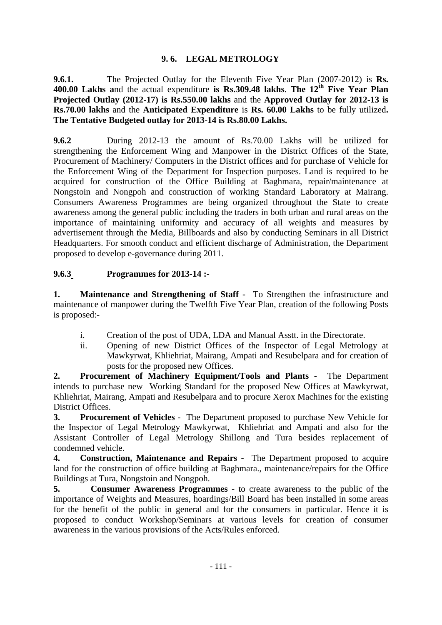## **9. 6. LEGAL METROLOGY**

**9.6.1.** The Projected Outlay for the Eleventh Five Year Plan (2007-2012) is **Rs.**  400.00 Lakhs and the actual expenditure is Rs.309.48 lakhs. The 12<sup>th</sup> Five Year Plan **Projected Outlay (2012-17) is Rs.550.00 lakhs** and the **Approved Outlay for 2012-13 is Rs.70.00 lakhs** and the **Anticipated Expenditure** is **Rs. 60.00 Lakhs** to be fully utilized**. The Tentative Budgeted outlay for 2013-14 is Rs.80.00 Lakhs.**

**9.6.2** During 2012-13 the amount of Rs.70.00 Lakhs will be utilized for strengthening the Enforcement Wing and Manpower in the District Offices of the State, Procurement of Machinery/ Computers in the District offices and for purchase of Vehicle for the Enforcement Wing of the Department for Inspection purposes. Land is required to be acquired for construction of the Office Building at Baghmara, repair/maintenance at Nongstoin and Nongpoh and construction of working Standard Laboratory at Mairang. Consumers Awareness Programmes are being organized throughout the State to create awareness among the general public including the traders in both urban and rural areas on the importance of maintaining uniformity and accuracy of all weights and measures by advertisement through the Media, Billboards and also by conducting Seminars in all District Headquarters. For smooth conduct and efficient discharge of Administration, the Department proposed to develop e-governance during 2011.

## **9.6.3 Programmes for 2013-14 :-**

**1. Maintenance and Strengthening of Staff -** To Strengthen the infrastructure and maintenance of manpower during the Twelfth Five Year Plan, creation of the following Posts is proposed:-

- i. Creation of the post of UDA, LDA and Manual Asstt. in the Directorate.
- ii. Opening of new District Offices of the Inspector of Legal Metrology at Mawkyrwat, Khliehriat, Mairang, Ampati and Resubelpara and for creation of posts for the proposed new Offices.

**2. Procurement of Machinery Equipment/Tools and Plants -** The Department intends to purchase new Working Standard for the proposed New Offices at Mawkyrwat, Khliehriat, Mairang, Ampati and Resubelpara and to procure Xerox Machines for the existing District Offices.

**3. Procurement of Vehicles** - The Department proposed to purchase New Vehicle for the Inspector of Legal Metrology Mawkyrwat, Khliehriat and Ampati and also for the Assistant Controller of Legal Metrology Shillong and Tura besides replacement of condemned vehicle.

**4. Construction, Maintenance and Repairs -** The Department proposed to acquire land for the construction of office building at Baghmara., maintenance/repairs for the Office Buildings at Tura, Nongstoin and Nongpoh.

**5. Consumer Awareness Programmes** - to create awareness to the public of the importance of Weights and Measures, hoardings/Bill Board has been installed in some areas for the benefit of the public in general and for the consumers in particular. Hence it is proposed to conduct Workshop/Seminars at various levels for creation of consumer awareness in the various provisions of the Acts/Rules enforced.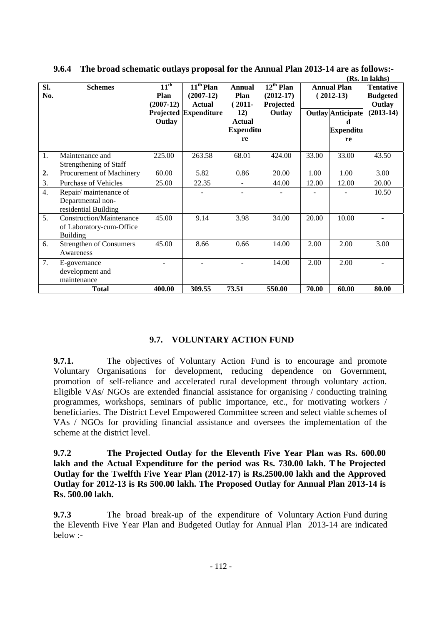|     |                                |                  |                    |                  |                           |       |                          | (Rs. In lakhs)   |
|-----|--------------------------------|------------------|--------------------|------------------|---------------------------|-------|--------------------------|------------------|
| SI. | <b>Schemes</b>                 | $11^{\text{th}}$ | $11th$ Plan        | Annual           | $\overline{12^{th}}$ Plan |       | <b>Annual Plan</b>       | <b>Tentative</b> |
| No. |                                | Plan             | $(2007-12)$        | Plan             | $(2012-17)$               |       | $(2012-13)$              | <b>Budgeted</b>  |
|     |                                | $(2007-12)$      | <b>Actual</b>      | $(2011 -$        | Projected                 |       |                          | Outlay           |
|     |                                | Projected        | <b>Expenditure</b> | 12)              | Outlay                    |       | <b>Outlay Anticipate</b> | $(2013-14)$      |
|     |                                | Outlay           |                    | <b>Actual</b>    |                           |       | d                        |                  |
|     |                                |                  |                    | <b>Expenditu</b> |                           |       | <b>Expenditu</b>         |                  |
|     |                                |                  |                    | re               |                           |       | re                       |                  |
|     |                                |                  |                    |                  |                           |       |                          |                  |
| 1.  | Maintenance and                | 225.00           | 263.58             | 68.01            | 424.00                    | 33.00 | 33.00                    | 43.50            |
|     | Strengthening of Staff         |                  |                    |                  |                           |       |                          |                  |
| 2.  | Procurement of Machinery       | 60.00            | 5.82               | 0.86             | 20.00                     | 1.00  | 1.00                     | 3.00             |
| 3.  | <b>Purchase of Vehicles</b>    | 25.00            | 22.35              |                  | 44.00                     | 12.00 | 12.00                    | 20.00            |
| 4.  | Repair/maintenance of          |                  |                    |                  |                           |       |                          | 10.50            |
|     | Departmental non-              |                  |                    |                  |                           |       |                          |                  |
|     | residential Building           |                  |                    |                  |                           |       |                          |                  |
| 5.  | Construction/Maintenance       | 45.00            | 9.14               | 3.98             | 34.00                     | 20.00 | 10.00                    |                  |
|     | of Laboratory-cum-Office       |                  |                    |                  |                           |       |                          |                  |
|     | <b>Building</b>                |                  |                    |                  |                           |       |                          |                  |
| 6.  | <b>Strengthen of Consumers</b> | 45.00            | 8.66               | 0.66             | 14.00                     | 2.00  | 2.00                     | 3.00             |
|     | Awareness                      |                  |                    |                  |                           |       |                          |                  |
| 7.  | E-governance                   |                  |                    |                  | 14.00                     | 2.00  | 2.00                     |                  |
|     | development and                |                  |                    |                  |                           |       |                          |                  |
|     | maintenance                    |                  |                    |                  |                           |       |                          |                  |
|     | <b>Total</b>                   | 400.00           | 309.55             | 73.51            | 550.00                    | 70.00 | 60.00                    | 80.00            |

**9.6.4 The broad schematic outlays proposal for the Annual Plan 2013-14 are as follows:-** 

### **9.7. VOLUNTARY ACTION FUND**

**9.7.1.** The objectives of Voluntary Action Fund is to encourage and promote Voluntary Organisations for development, reducing dependence on Government, promotion of self-reliance and accelerated rural development through voluntary action. Eligible VAs/ NGOs are extended financial assistance for organising / conducting training programmes, workshops, seminars of public importance, etc., for motivating workers / beneficiaries. The District Level Empowered Committee screen and select viable schemes of VAs / NGOs for providing financial assistance and oversees the implementation of the scheme at the district level.

**9.7.2 The Projected Outlay for the Eleventh Five Year Plan was Rs. 600.00 lakh and the Actual Expenditure for the period was Rs. 730.00 lakh. T he Projected Outlay for the Twelfth Five Year Plan (2012-17) is Rs.2500.00 lakh and the Approved Outlay for 2012-13 is Rs 500.00 lakh. The Proposed Outlay for Annual Plan 2013-14 is Rs. 500.00 lakh.** 

**9.7.3** The broad break-up of the expenditure of Voluntary Action Fund during the Eleventh Five Year Plan and Budgeted Outlay for Annual Plan 2013-14 are indicated below :-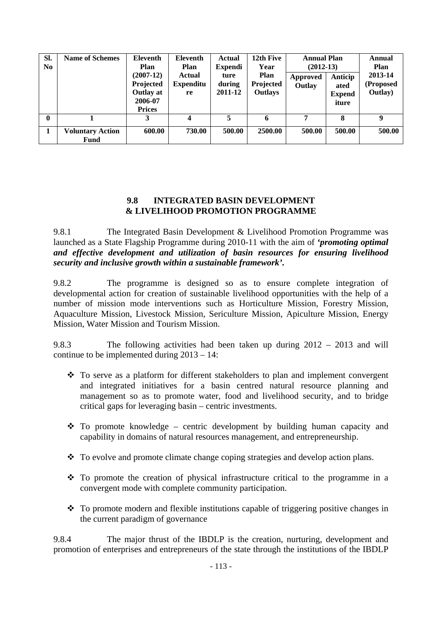| Sl.<br>N <sub>0</sub> | <b>Name of Schemes</b>          | Eleventh<br><b>Plan</b><br>$(2007-12)$<br>Projected<br>Outlay at<br>2006-07<br><b>Prices</b> | Eleventh<br>Plan<br>Actual<br><b>Expenditu</b><br>re | Actual<br><b>Expendi</b><br>ture<br>during<br>2011-12 | 12th Five<br>Year<br><b>Plan</b><br>Projected<br><b>Outlays</b> | <b>Annual Plan</b><br>$(2012-13)$<br>Approved<br>Outlay | Anticip<br>ated<br><b>Expend</b><br>iture | Annual<br>Plan<br>2013-14<br>(Proposed<br>Outlay) |
|-----------------------|---------------------------------|----------------------------------------------------------------------------------------------|------------------------------------------------------|-------------------------------------------------------|-----------------------------------------------------------------|---------------------------------------------------------|-------------------------------------------|---------------------------------------------------|
| $\mathbf{0}$          |                                 | 3                                                                                            | $\boldsymbol{4}$                                     | 5                                                     | 6                                                               | 7                                                       | 8                                         | 9                                                 |
|                       | <b>Voluntary Action</b><br>Fund | 600.00                                                                                       | 730.00                                               | 500.00                                                | 2500.00                                                         | 500.00                                                  | 500.00                                    | 500.00                                            |

#### **9.8 INTEGRATED BASIN DEVELOPMENT & LIVELIHOOD PROMOTION PROGRAMME**

9.8.1 The Integrated Basin Development & Livelihood Promotion Programme was launched as a State Flagship Programme during 2010-11 with the aim of *'promoting optimal and effective development and utilization of basin resources for ensuring livelihood security and inclusive growth within a sustainable framework'.* 

9.8.2 The programme is designed so as to ensure complete integration of developmental action for creation of sustainable livelihood opportunities with the help of a number of mission mode interventions such as Horticulture Mission, Forestry Mission, Aquaculture Mission, Livestock Mission, Sericulture Mission, Apiculture Mission, Energy Mission, Water Mission and Tourism Mission.

9.8.3 The following activities had been taken up during 2012 – 2013 and will continue to be implemented during 2013 – 14:

- To serve as a platform for different stakeholders to plan and implement convergent and integrated initiatives for a basin centred natural resource planning and management so as to promote water, food and livelihood security, and to bridge critical gaps for leveraging basin – centric investments.
- $\cdot \cdot$  To promote knowledge centric development by building human capacity and capability in domains of natural resources management, and entrepreneurship.
- To evolve and promote climate change coping strategies and develop action plans.
- $\cdot \cdot$  To promote the creation of physical infrastructure critical to the programme in a convergent mode with complete community participation.
- $\cdot \cdot$  To promote modern and flexible institutions capable of triggering positive changes in the current paradigm of governance

9.8.4 The major thrust of the IBDLP is the creation, nurturing, development and promotion of enterprises and entrepreneurs of the state through the institutions of the IBDLP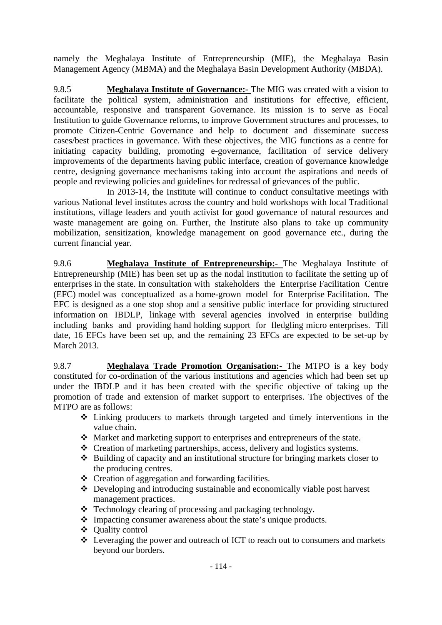namely the Meghalaya Institute of Entrepreneurship (MIE), the Meghalaya Basin Management Agency (MBMA) and the Meghalaya Basin Development Authority (MBDA).

9.8.5 **Meghalaya Institute of Governance:-** The MIG was created with a vision to facilitate the political system, administration and institutions for effective, efficient, accountable, responsive and transparent Governance. Its mission is to serve as Focal Institution to guide Governance reforms, to improve Government structures and processes, to promote Citizen-Centric Governance and help to document and disseminate success cases/best practices in governance. With these objectives, the MIG functions as a centre for initiating capacity building, promoting e-governance, facilitation of service delivery improvements of the departments having public interface, creation of governance knowledge centre, designing governance mechanisms taking into account the aspirations and needs of people and reviewing policies and guidelines for redressal of grievances of the public.

 In 2013-14, the Institute will continue to conduct consultative meetings with various National level institutes across the country and hold workshops with local Traditional institutions, village leaders and youth activist for good governance of natural resources and waste management are going on. Further, the Institute also plans to take up community mobilization, sensitization, knowledge management on good governance etc., during the current financial year.

9.8.6 **Meghalaya Institute of Entrepreneurship:-** The Meghalaya Institute of Entrepreneurship (MIE) has been set up as the nodal institution to facilitate the setting up of enterprises in the state. In consultation with stakeholders the Enterprise Facilitation Centre (EFC) model was conceptualized as a home-grown model for Enterprise Facilitation. The EFC is designed as a one stop shop and a sensitive public interface for providing structured information on IBDLP, linkage with several agencies involved in enterprise building including banks and providing hand holding support for fledgling micro enterprises. Till date, 16 EFCs have been set up, and the remaining 23 EFCs are expected to be set-up by March 2013.

9.8.7 **Meghalaya Trade Promotion Organisation:-** The MTPO is a key body constituted for co-ordination of the various institutions and agencies which had been set up under the IBDLP and it has been created with the specific objective of taking up the promotion of trade and extension of market support to enterprises. The objectives of the MTPO are as follows:

- Linking producers to markets through targeted and timely interventions in the value chain.
- Market and marketing support to enterprises and entrepreneurs of the state.
- Creation of marketing partnerships, access, delivery and logistics systems.
- $\triangle$  Building of capacity and an institutional structure for bringing markets closer to the producing centres.
- $\triangleleft$  Creation of aggregation and forwarding facilities.
- Developing and introducing sustainable and economically viable post harvest management practices.
- Technology clearing of processing and packaging technology.
- Impacting consumer awareness about the state's unique products.
- ❖ Ouality control
- Leveraging the power and outreach of ICT to reach out to consumers and markets beyond our borders.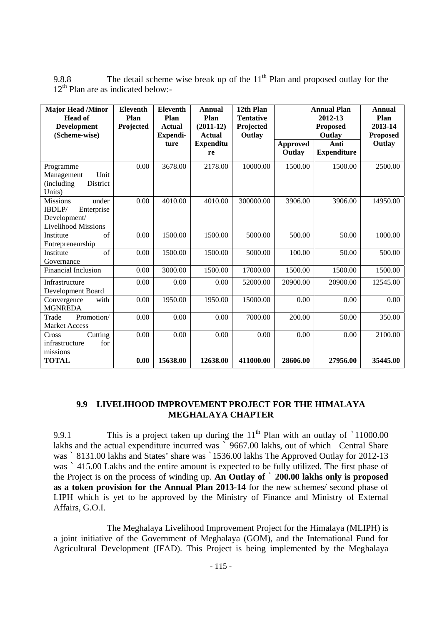| <b>Major Head /Minor</b><br><b>Head of</b><br><b>Development</b><br>(Scheme-wise)              | <b>Eleventh</b><br>Plan<br>Projected | <b>Eleventh</b><br>Plan<br><b>Actual</b><br>Expendi- | <b>Annual</b><br>Plan<br>$(2011-12)$<br><b>Actual</b> | 12th Plan<br><b>Tentative</b><br>Projected<br>Outlay | <b>Annual Plan</b><br>2012-13<br><b>Proposed</b><br>Outlay |                            | <b>Annual</b><br>Plan<br>2013-14<br><b>Proposed</b> |
|------------------------------------------------------------------------------------------------|--------------------------------------|------------------------------------------------------|-------------------------------------------------------|------------------------------------------------------|------------------------------------------------------------|----------------------------|-----------------------------------------------------|
|                                                                                                |                                      | ture                                                 | <b>Expenditu</b><br>re                                |                                                      | <b>Approved</b><br>Outlay                                  | Anti<br><b>Expenditure</b> | Outlay                                              |
| Programme<br>Unit<br>Management<br>District<br>(including)<br>Units)                           | 0.00                                 | 3678.00                                              | 2178.00                                               | 10000.00                                             | 1500.00                                                    | 1500.00                    | 2500.00                                             |
| <b>Missions</b><br>under<br>IBDLP/<br>Enterprise<br>Development/<br><b>Livelihood Missions</b> | 0.00                                 | 4010.00                                              | 4010.00                                               | 300000.00                                            | 3906.00                                                    | 3906.00                    | 14950.00                                            |
| of<br>Institute<br>Entrepreneurship                                                            | 0.00                                 | 1500.00                                              | 1500.00                                               | 5000.00                                              | 500.00                                                     | 50.00                      | 1000.00                                             |
| of<br>Institute<br>Governance                                                                  | 0.00                                 | 1500.00                                              | 1500.00                                               | 5000.00                                              | 100.00                                                     | 50.00                      | 500.00                                              |
| <b>Financial Inclusion</b>                                                                     | 0.00                                 | 3000.00                                              | 1500.00                                               | 17000.00                                             | 1500.00                                                    | 1500.00                    | 1500.00                                             |
| Infrastructure<br>Development Board                                                            | 0.00                                 | 0.00                                                 | 0.00                                                  | 52000.00                                             | 20900.00                                                   | 20900.00                   | 12545.00                                            |
| with<br>Convergence<br><b>MGNREDA</b>                                                          | 0.00                                 | 1950.00                                              | 1950.00                                               | 15000.00                                             | 0.00                                                       | 0.00                       | 0.00                                                |
| Trade<br>Promotion/<br><b>Market Access</b>                                                    | 0.00                                 | 0.00                                                 | 0.00                                                  | 7000.00                                              | 200.00                                                     | 50.00                      | 350.00                                              |
| Cutting<br>Cross<br>for<br>infrastructure<br>missions                                          | 0.00                                 | 0.00                                                 | 0.00                                                  | 0.00                                                 | 0.00                                                       | 0.00                       | 2100.00                                             |
| <b>TOTAL</b>                                                                                   | 0.00                                 | 15638.00                                             | 12638.00                                              | 411000.00                                            | 28606.00                                                   | 27956.00                   | 35445.00                                            |

9.8.8 The detail scheme wise break up of the  $11<sup>th</sup>$  Plan and proposed outlay for the  $12<sup>th</sup>$  Plan are as indicated below:-

### **9.9 LIVELIHOOD IMPROVEMENT PROJECT FOR THE HIMALAYA MEGHALAYA CHAPTER**

9.9.1 This is a project taken up during the  $11<sup>th</sup>$  Plan with an outlay of  $\dot{ }$  11000.00 lakhs and the actual expenditure incurred was 9667.00 lakhs, out of which Central Share was `8131.00 lakhs and States' share was `1536.00 lakhs The Approved Outlay for 2012-13 was  $\degree$  415.00 Lakhs and the entire amount is expected to be fully utilized. The first phase of the Project is on the process of winding up. **An Outlay of** ` **200.00 lakhs only is proposed as a token provision for the Annual Plan 2013-14** for the new schemes/ second phase of LIPH which is yet to be approved by the Ministry of Finance and Ministry of External Affairs, G.O.I.

The Meghalaya Livelihood Improvement Project for the Himalaya (MLIPH) is a joint initiative of the Government of Meghalaya (GOM), and the International Fund for Agricultural Development (IFAD). This Project is being implemented by the Meghalaya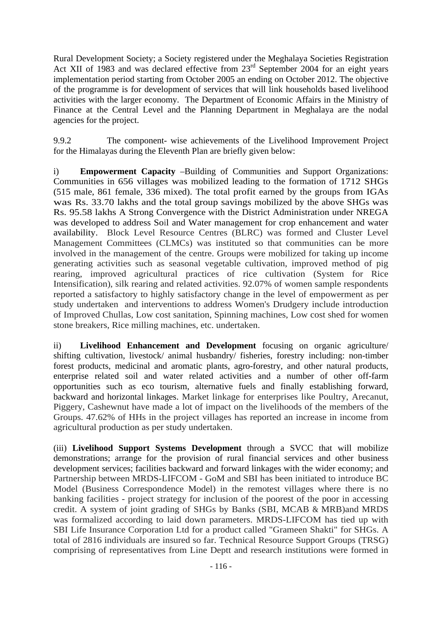Rural Development Society; a Society registered under the Meghalaya Societies Registration Act XII of 1983 and was declared effective from 23<sup>rd</sup> September 2004 for an eight years implementation period starting from October 2005 an ending on October 2012. The objective of the programme is for development of services that will link households based livelihood activities with the larger economy. The Department of Economic Affairs in the Ministry of Finance at the Central Level and the Planning Department in Meghalaya are the nodal agencies for the project.

9.9.2 The component- wise achievements of the Livelihood Improvement Project for the Himalayas during the Eleventh Plan are briefly given below:

i) **Empowerment Capacity** –Building of Communities and Support Organizations: Communities in 656 villages was mobilized leading to the formation of 1712 SHGs (515 male, 861 female, 336 mixed). The total profit earned by the groups from IGAs was Rs. 33.70 lakhs and the total group savings mobilized by the above SHGs was Rs. 95.58 lakhs A Strong Convergence with the District Administration under NREGA was developed to address Soil and Water management for crop enhancement and water availability. Block Level Resource Centres (BLRC) was formed and Cluster Level Management Committees (CLMCs) was instituted so that communities can be more involved in the management of the centre. Groups were mobilized for taking up income generating activities such as seasonal vegetable cultivation, improved method of pig rearing, improved agricultural practices of rice cultivation (System for Rice Intensification), silk rearing and related activities. 92.07% of women sample respondents reported a satisfactory to highly satisfactory change in the level of empowerment as per study undertaken and interventions to address Women's Drudgery include introduction of Improved Chullas, Low cost sanitation, Spinning machines, Low cost shed for women stone breakers, Rice milling machines, etc. undertaken.

ii) **Livelihood Enhancement and Development** focusing on organic agriculture/ shifting cultivation, livestock/ animal husbandry/ fisheries, forestry including: non-timber forest products, medicinal and aromatic plants, agro-forestry, and other natural products, enterprise related soil and water related activities and a number of other off-farm opportunities such as eco tourism, alternative fuels and finally establishing forward, backward and horizontal linkages. Market linkage for enterprises like Poultry, Arecanut, Piggery, Cashewnut have made a lot of impact on the livelihoods of the members of the Groups. 47.62% of HHs in the project villages has reported an increase in income from agricultural production as per study undertaken.

(iii) **Livelihood Support Systems Development** through a SVCC that will mobilize demonstrations; arrange for the provision of rural financial services and other business development services; facilities backward and forward linkages with the wider economy; and Partnership between MRDS-LIFCOM - GoM and SBI has been initiated to introduce BC Model (Business Correspondence Model) in the remotest villages where there is no banking facilities - project strategy for inclusion of the poorest of the poor in accessing credit. A system of joint grading of SHGs by Banks (SBI, MCAB & MRB)and MRDS was formalized according to laid down parameters. MRDS-LIFCOM has tied up with SBI Life Insurance Corporation Ltd for a product called "Grameen Shakti" for SHGs. A total of 2816 individuals are insured so far. Technical Resource Support Groups (TRSG) comprising of representatives from Line Deptt and research institutions were formed in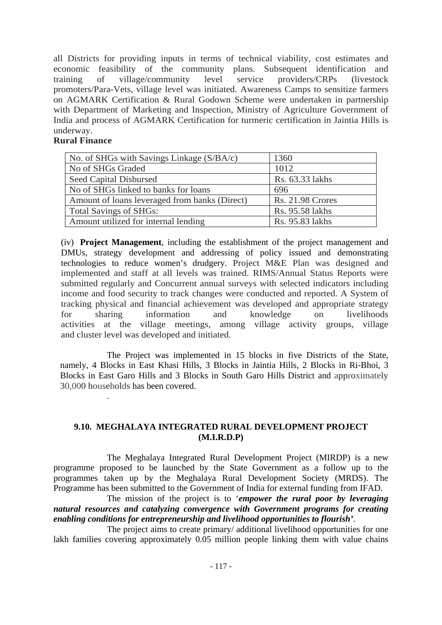all Districts for providing inputs in terms of technical viability, cost estimates and economic feasibility of the community plans. Subsequent identification and training of village/community level service providers/CRPs (livestock promoters/Para-Vets, village level was initiated. Awareness Camps to sensitize farmers on AGMARK Certification & Rural Godown Scheme were undertaken in partnership with Department of Marketing and Inspection, Ministry of Agriculture Government of India and process of AGMARK Certification for turmeric certification in Jaintia Hills is underway.

#### **Rural Finance**

.

| No. of SHGs with Savings Linkage (S/BA/c)     | 1360                    |  |  |
|-----------------------------------------------|-------------------------|--|--|
| No of SHGs Graded                             | 1012                    |  |  |
| Seed Capital Disbursed                        | Rs. 63.33 lakhs         |  |  |
| No of SHGs linked to banks for loans          | 696                     |  |  |
| Amount of loans leveraged from banks (Direct) | <b>Rs. 21.98 Crores</b> |  |  |
| <b>Total Savings of SHGs:</b>                 | Rs. 95.58 lakhs         |  |  |
| Amount utilized for internal lending          | Rs. 95.83 lakhs         |  |  |

(iv) **Project Management**, including the establishment of the project management and DMUs, strategy development and addressing of policy issued and demonstrating technologies to reduce women's drudgery. Project M&E Plan was designed and implemented and staff at all levels was trained. RIMS/Annual Status Reports were submitted regularly and Concurrent annual surveys with selected indicators including income and food security to track changes were conducted and reported. A System of tracking physical and financial achievement was developed and appropriate strategy for sharing information and knowledge on livelihoods activities at the village meetings, among village activity groups, village and cluster level was developed and initiated.

The Project was implemented in 15 blocks in five Districts of the State, namely, 4 Blocks in East Khasi Hills, 3 Blocks in Jaintia Hills, 2 Blocks in Ri-Bhoi, 3 Blocks in East Garo Hills and 3 Blocks in South Garo Hills District and approximately 30,000 households has been covered.

#### **9.10. MEGHALAYA INTEGRATED RURAL DEVELOPMENT PROJECT (M.I.R.D.P)**

 The Meghalaya Integrated Rural Development Project (MIRDP) is a new programme proposed to be launched by the State Government as a follow up to the programmes taken up by the Meghalaya Rural Development Society (MRDS). The Programme has been submitted to the Government of India for external funding from IFAD.

 The mission of the project is to '*empower the rural poor by leveraging natural resources and catalyzing convergence with Government programs for creating enabling conditions for entrepreneurship and livelihood opportunities to flourish'*.

 The project aims to create primary/ additional livelihood opportunities for one lakh families covering approximately 0.05 million people linking them with value chains